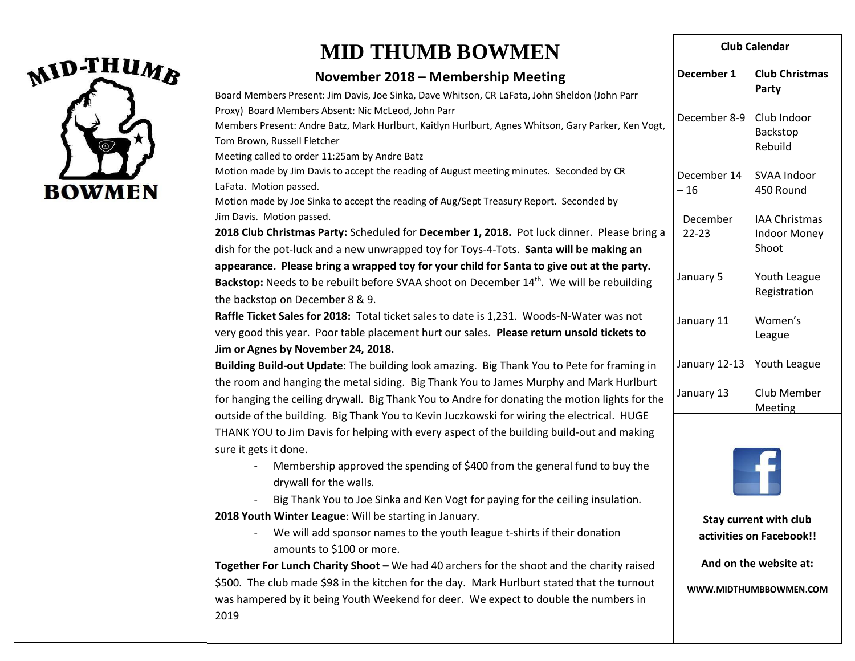

## **MID THUMB BOWMEN**

|                                                                                            | November 2018 - Membership Meeting                                                                                                 | December 1                 | <b>Club Christmas</b>                                     |  |
|--------------------------------------------------------------------------------------------|------------------------------------------------------------------------------------------------------------------------------------|----------------------------|-----------------------------------------------------------|--|
|                                                                                            | Board Members Present: Jim Davis, Joe Sinka, Dave Whitson, CR LaFata, John Sheldon (John Parr                                      |                            | Party                                                     |  |
|                                                                                            | Proxy) Board Members Absent: Nic McLeod, John Parr                                                                                 |                            | Club Indoor<br>Backstop                                   |  |
|                                                                                            | Members Present: Andre Batz, Mark Hurlburt, Kaitlyn Hurlburt, Agnes Whitson, Gary Parker, Ken Vogt,                                | December 8-9               |                                                           |  |
|                                                                                            | Tom Brown, Russell Fletcher                                                                                                        |                            | Rebuild                                                   |  |
|                                                                                            | Meeting called to order 11:25am by Andre Batz                                                                                      |                            |                                                           |  |
|                                                                                            | Motion made by Jim Davis to accept the reading of August meeting minutes. Seconded by CR                                           | December 14                | SVAA Indoor<br>450 Round                                  |  |
|                                                                                            | LaFata. Motion passed.                                                                                                             | $-16$                      |                                                           |  |
|                                                                                            | Motion made by Joe Sinka to accept the reading of Aug/Sept Treasury Report. Seconded by                                            |                            |                                                           |  |
|                                                                                            | Jim Davis. Motion passed.                                                                                                          | December                   | <b>IAA Christmas</b>                                      |  |
|                                                                                            | 2018 Club Christmas Party: Scheduled for December 1, 2018. Pot luck dinner. Please bring a                                         | $22 - 23$                  | <b>Indoor Money</b>                                       |  |
|                                                                                            | dish for the pot-luck and a new unwrapped toy for Toys-4-Tots. Santa will be making an                                             |                            | Shoot                                                     |  |
|                                                                                            | appearance. Please bring a wrapped toy for your child for Santa to give out at the party.                                          | January 5                  | Youth League<br>Registration                              |  |
|                                                                                            | Backstop: Needs to be rebuilt before SVAA shoot on December 14 <sup>th</sup> . We will be rebuilding                               |                            |                                                           |  |
|                                                                                            | the backstop on December 8 & 9.                                                                                                    |                            |                                                           |  |
|                                                                                            | Raffle Ticket Sales for 2018: Total ticket sales to date is 1,231. Woods-N-Water was not                                           | January 11                 | Women's<br>League                                         |  |
|                                                                                            | very good this year. Poor table placement hurt our sales. Please return unsold tickets to                                          |                            |                                                           |  |
|                                                                                            | Jim or Agnes by November 24, 2018.                                                                                                 |                            |                                                           |  |
|                                                                                            | Building Build-out Update: The building look amazing. Big Thank You to Pete for framing in                                         | January 12-13 Youth League |                                                           |  |
|                                                                                            | the room and hanging the metal siding. Big Thank You to James Murphy and Mark Hurlburt                                             | January 13                 |                                                           |  |
|                                                                                            | for hanging the ceiling drywall. Big Thank You to Andre for donating the motion lights for the                                     |                            | Club Member                                               |  |
| outside of the building. Big Thank You to Kevin Juczkowski for wiring the electrical. HUGE |                                                                                                                                    |                            | Meeting                                                   |  |
|                                                                                            | THANK YOU to Jim Davis for helping with every aspect of the building build-out and making                                          |                            |                                                           |  |
|                                                                                            | sure it gets it done.                                                                                                              |                            |                                                           |  |
|                                                                                            | Membership approved the spending of \$400 from the general fund to buy the                                                         |                            |                                                           |  |
|                                                                                            | drywall for the walls.                                                                                                             |                            |                                                           |  |
|                                                                                            | Big Thank You to Joe Sinka and Ken Vogt for paying for the ceiling insulation.                                                     |                            |                                                           |  |
|                                                                                            | 2018 Youth Winter League: Will be starting in January.<br>We will add sponsor names to the youth league t-shirts if their donation |                            | <b>Stay current with club</b><br>activities on Facebook!! |  |
|                                                                                            |                                                                                                                                    |                            |                                                           |  |
|                                                                                            | amounts to \$100 or more.                                                                                                          |                            |                                                           |  |
|                                                                                            | Together For Lunch Charity Shoot - We had 40 archers for the shoot and the charity raised                                          |                            | And on the website at:                                    |  |
|                                                                                            | \$500. The club made \$98 in the kitchen for the day. Mark Hurlburt stated that the turnout                                        | WWW.MIDTHUMBBOWMEN.COM     |                                                           |  |
|                                                                                            | was hampered by it being Youth Weekend for deer. We expect to double the numbers in                                                |                            |                                                           |  |
|                                                                                            | 2019                                                                                                                               |                            |                                                           |  |
|                                                                                            |                                                                                                                                    |                            |                                                           |  |

**Club Calendar**